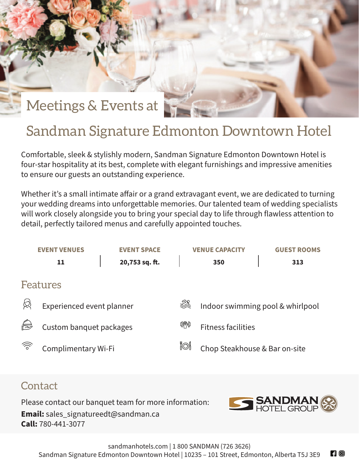## Meetings & Events at

## Sandman Signature Edmonton Downtown Hotel

Comfortable, sleek & stylishly modern, Sandman Signature Edmonton Downtown Hotel is four-star hospitality at its best, complete with elegant furnishings and impressive amenities to ensure our guests an outstanding experience.

Whether it's a small intimate affair or a grand extravagant event, we are dedicated to turning your wedding dreams into unforgettable memories. Our talented team of wedding specialists will work closely alongside you to bring your special day to life through flawless attention to detail, perfectly tailored menus and carefully appointed touches.

|          | <b>EVENT VENUES</b>       | <b>EVENT SPACE</b> |  | <b>VENUE CAPACITY</b>            | <b>GUEST ROOMS</b> |  |  |  |  |
|----------|---------------------------|--------------------|--|----------------------------------|--------------------|--|--|--|--|
|          | 11                        | 20,753 sq. ft.     |  | 350                              | 313                |  |  |  |  |
| Features |                           |                    |  |                                  |                    |  |  |  |  |
| 《        | Experienced event planner |                    |  | Indoor swimming pool & whirlpool |                    |  |  |  |  |
| e)       | Custom banquet packages   |                    |  | <b>Fitness facilities</b>        |                    |  |  |  |  |
| ゔ        | Complimentary Wi-Fi       |                    |  | Chop Steakhouse & Bar on-site    |                    |  |  |  |  |

## **Contact**

Please contact our banquet team for more information: **Email:** sales\_signatureedt@sandman.ca **Call:** 780-441-3077